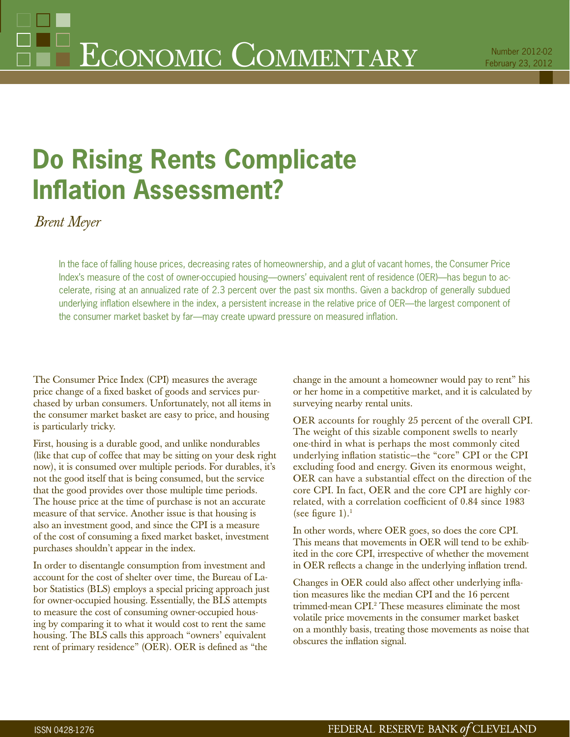# **Do Rising Rents Complicate Infl ation Assessment?**

*Brent Meyer*

In the face of falling house prices, decreasing rates of homeownership, and a glut of vacant homes, the Consumer Price Index's measure of the cost of owner-occupied housing—owners' equivalent rent of residence (OER)—has begun to accelerate, rising at an annualized rate of 2.3 percent over the past six months. Given a backdrop of generally subdued underlying inflation elsewhere in the index, a persistent increase in the relative price of OER—the largest component of the consumer market basket by far—may create upward pressure on measured inflation.

The Consumer Price Index (CPI) measures the average price change of a fixed basket of goods and services purchased by urban consumers. Unfortunately, not all items in the consumer market basket are easy to price, and housing is particularly tricky.

First, housing is a durable good, and unlike nondurables (like that cup of coffee that may be sitting on your desk right now), it is consumed over multiple periods. For durables, it's not the good itself that is being consumed, but the service that the good provides over those multiple time periods. The house price at the time of purchase is not an accurate measure of that service. Another issue is that housing is also an investment good, and since the CPI is a measure of the cost of consuming a fixed market basket, investment purchases shouldn't appear in the index.

In order to disentangle consumption from investment and account for the cost of shelter over time, the Bureau of Labor Statistics (BLS) employs a special pricing approach just for owner-occupied housing. Essentially, the BLS attempts to measure the cost of consuming owner-occupied housing by comparing it to what it would cost to rent the same housing. The BLS calls this approach "owners' equivalent rent of primary residence" (OER). OER is defined as "the

change in the amount a homeowner would pay to rent" his or her home in a competitive market, and it is calculated by surveying nearby rental units.

OER accounts for roughly 25 percent of the overall CPI. The weight of this sizable component swells to nearly one-third in what is perhaps the most commonly cited underlying inflation statistic-the "core" CPI or the CPI excluding food and energy. Given its enormous weight, OER can have a substantial effect on the direction of the core CPI. In fact, OER and the core CPI are highly correlated, with a correlation coefficient of 0.84 since 1983 (see figure 1).<sup>1</sup>

In other words, where OER goes, so does the core CPI. This means that movements in OER will tend to be exhibited in the core CPI, irrespective of whether the movement in OER reflects a change in the underlying inflation trend.

Changes in OER could also affect other underlying inflation measures like the median CPI and the 16 percent trimmed-mean CPI.2 These measures eliminate the most volatile price movements in the consumer market basket on a monthly basis, treating those movements as noise that obscures the inflation signal.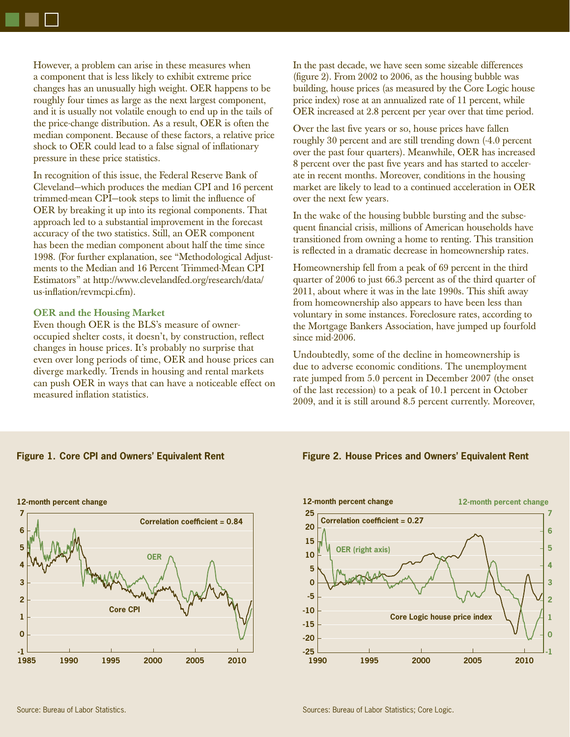However, a problem can arise in these measures when a component that is less likely to exhibit extreme price changes has an unusually high weight. OER happens to be roughly four times as large as the next largest component, and it is usually not volatile enough to end up in the tails of the price-change distribution. As a result, OER is often the median component. Because of these factors, a relative price shock to OER could lead to a false signal of inflationary pressure in these price statistics.

In recognition of this issue, the Federal Reserve Bank of Cleveland—which produces the median CPI and 16 percent trimmed-mean CPI-took steps to limit the influence of OER by breaking it up into its regional components. That approach led to a substantial improvement in the forecast accuracy of the two statistics. Still, an OER component has been the median component about half the time since 1998. (For further explanation, see "Methodological Adjustments to the Median and 16 Percent Trimmed-Mean CPI Estimators" at http://www.clevelandfed.org/research/data/ us-inflation/revmcpi.cfm).

## **OER and the Housing Market**

Even though OER is the BLS's measure of owneroccupied shelter costs, it doesn't, by construction, reflect changes in house prices. It's probably no surprise that even over long periods of time, OER and house prices can diverge markedly. Trends in housing and rental markets can push OER in ways that can have a noticeable effect on measured inflation statistics.

In the past decade, we have seen some sizeable differences (figure 2). From  $2002$  to  $2006$ , as the housing bubble was building, house prices (as measured by the Core Logic house price index) rose at an annualized rate of 11 percent, while OER increased at 2.8 percent per year over that time period.

Over the last five years or so, house prices have fallen roughly 30 percent and are still trending down (-4.0 percent over the past four quarters). Meanwhile, OER has increased 8 percent over the past five years and has started to accelerate in recent months. Moreover, conditions in the housing market are likely to lead to a continued acceleration in OER over the next few years.

In the wake of the housing bubble bursting and the subsequent financial crisis, millions of American households have transitioned from owning a home to renting. This transition is reflected in a dramatic decrease in homeownership rates.

Homeownership fell from a peak of 69 percent in the third quarter of 2006 to just 66.3 percent as of the third quarter of 2011, about where it was in the late 1990s. This shift away from homeownership also appears to have been less than voluntary in some instances. Foreclosure rates, according to the Mortgage Bankers Association, have jumped up fourfold since mid-2006.

Undoubtedly, some of the decline in homeownership is due to adverse economic conditions. The unemployment rate jumped from 5.0 percent in December 2007 (the onset of the last recession) to a peak of 10.1 percent in October 2009, and it is still around 8.5 percent currently. Moreover,

### **Figure 1. Core CPI and Owners' Equivalent Rent**



**Figure 2. House Prices and Owners' Equivalent Rent**

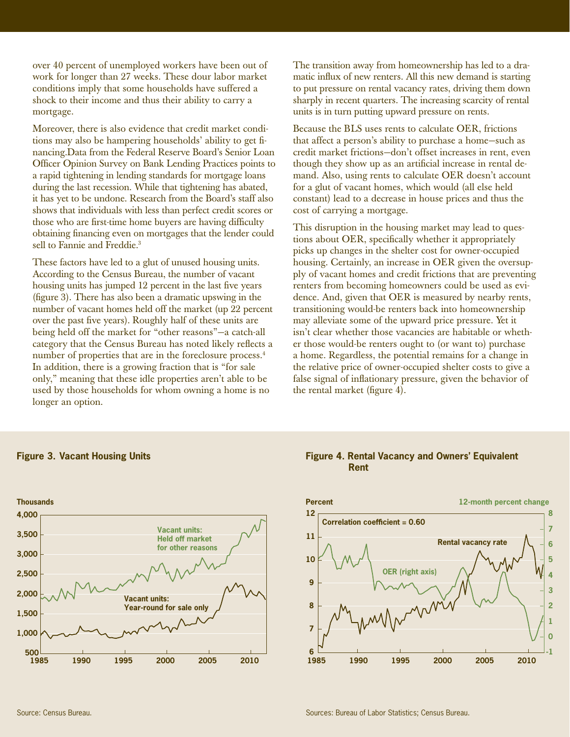over 40 percent of unemployed workers have been out of work for longer than 27 weeks. These dour labor market conditions imply that some households have suffered a shock to their income and thus their ability to carry a mortgage.

Moreover, there is also evidence that credit market conditions may also be hampering households' ability to get financing.Data from the Federal Reserve Board's Senior Loan Officer Opinion Survey on Bank Lending Practices points to a rapid tightening in lending standards for mortgage loans during the last recession. While that tightening has abated, it has yet to be undone. Research from the Board's staff also shows that individuals with less than perfect credit scores or those who are first-time home buyers are having difficulty obtaining financing even on mortgages that the lender could sell to Fannie and Freddie.<sup>3</sup>

These factors have led to a glut of unused housing units. According to the Census Bureau, the number of vacant housing units has jumped 12 percent in the last five years  $(f_{\text{figure}})$ . There has also been a dramatic upswing in the number of vacant homes held off the market (up 22 percent over the past five years). Roughly half of these units are being held off the market for "other reasons"—a catch-all category that the Census Bureau has noted likely reflects a number of properties that are in the foreclosure process.<sup>4</sup> In addition, there is a growing fraction that is "for sale only," meaning that these idle properties aren't able to be used by those households for whom owning a home is no longer an option.

The transition away from homeownership has led to a dramatic influx of new renters. All this new demand is starting to put pressure on rental vacancy rates, driving them down sharply in recent quarters. The increasing scarcity of rental units is in turn putting upward pressure on rents.

Because the BLS uses rents to calculate OER, frictions that affect a person's ability to purchase a home—such as credit market frictions—don't offset increases in rent, even though they show up as an artificial increase in rental demand. Also, using rents to calculate OER doesn't account for a glut of vacant homes, which would (all else held constant) lead to a decrease in house prices and thus the cost of carrying a mortgage.

This disruption in the housing market may lead to questions about OER, specifically whether it appropriately picks up changes in the shelter cost for owner-occupied housing. Certainly, an increase in OER given the oversupply of vacant homes and credit frictions that are preventing renters from becoming homeowners could be used as evidence. And, given that OER is measured by nearby rents, transitioning would-be renters back into homeownership may alleviate some of the upward price pressure. Yet it isn't clear whether those vacancies are habitable or whether those would-be renters ought to (or want to) purchase a home. Regardless, the potential remains for a change in the relative price of owner-occupied shelter costs to give a false signal of inflationary pressure, given the behavior of the rental market (figure  $4$ ).



## **Figure 4. Rental Vacancy and Owners' Equivalent Rent**



**Figure 3. Vacant Housing Units**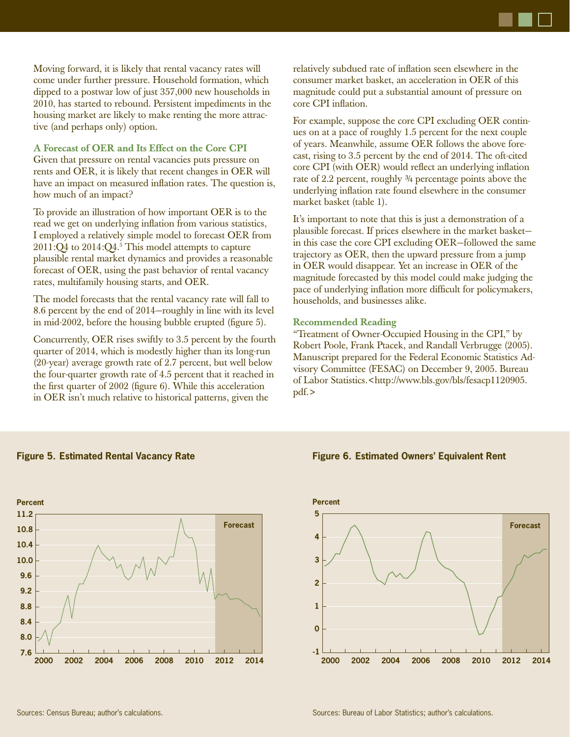

Moving forward, it is likely that rental vacancy rates will come under further pressure. Household formation, which dipped to a postwar low of just 357,000 new households in 2010, has started to rebound. Persistent impediments in the housing market are likely to make renting the more attractive (and perhaps only) option.

## **A Forecast of OER and Its Effect on the Core CPI**

Given that pressure on rental vacancies puts pressure on rents and OER, it is likely that recent changes in OER will have an impact on measured inflation rates. The question is, how much of an impact?

To provide an illustration of how important OER is to the read we get on underlying inflation from various statistics, I employed a relatively simple model to forecast OER from  $2011$ :Q4 to  $2014$ :Q4.<sup>5</sup> This model attempts to capture plausible rental market dynamics and provides a reasonable forecast of OER, using the past behavior of rental vacancy rates, multifamily housing starts, and OER.

The model forecasts that the rental vacancy rate will fall to 8.6 percent by the end of 2014—roughly in line with its level in mid-2002, before the housing bubble erupted (figure 5).

Concurrently, OER rises swiftly to 3.5 percent by the fourth quarter of 2014, which is modestly higher than its long-run (20-year) average growth rate of 2.7 percent, but well below the four-quarter growth rate of 4.5 percent that it reached in the first quarter of  $2002$  (figure 6). While this acceleration in OER isn't much relative to historical patterns, given the

relatively subdued rate of inflation seen elsewhere in the consumer market basket, an acceleration in OER of this magnitude could put a substantial amount of pressure on core CPI inflation.

For example, suppose the core CPI excluding OER continues on at a pace of roughly 1.5 percent for the next couple of years. Meanwhile, assume OER follows the above forecast, rising to 3.5 percent by the end of 2014. The oft-cited core CPI (with OER) would reflect an underlying inflation rate of 2.2 percent, roughly ¾ percentage points above the underlying inflation rate found elsewhere in the consumer market basket (table 1).

It's important to note that this is just a demonstration of a plausible forecast. If prices elsewhere in the market basket in this case the core CPI excluding OER—followed the same trajectory as OER, then the upward pressure from a jump in OER would disappear. Yet an increase in OER of the magnitude forecasted by this model could make judging the pace of underlying inflation more difficult for policymakers, households, and businesses alike.

### **Recommended Reading**

"Treatment of Owner-Occupied Housing in the CPI," by Robert Poole, Frank Ptacek, and Randall Verbrugge (2005). Manuscript prepared for the Federal Economic Statistics Advisory Committee (FESAC) on December 9, 2005. Bureau of Labor Statistics.<http://www.bls.gov/bls/fesacp1120905. pdf.>



**Figure 5. Estimated Rental Vacancy Rate**

#### **Figure 6. Estimated Owners' Equivalent Rent**

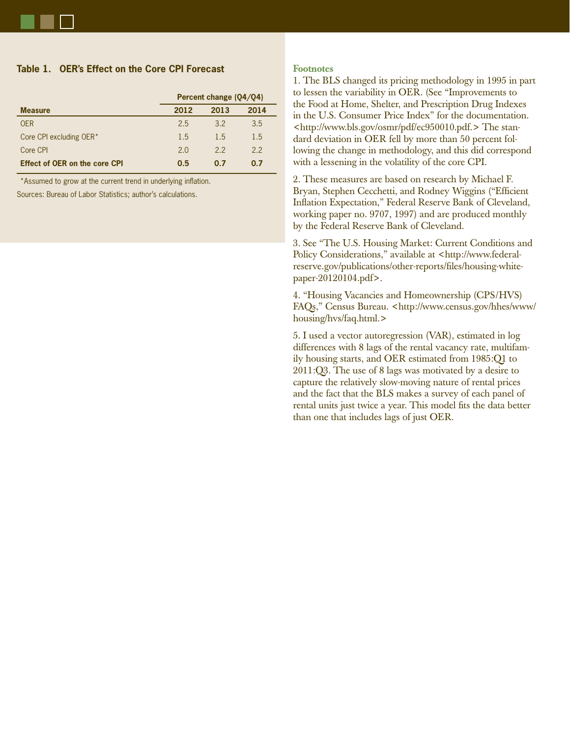## **Table 1. OER's Effect on the Core CPI Forecast**

|                                      | Percent change (Q4/Q4) |      |         |
|--------------------------------------|------------------------|------|---------|
| <b>Measure</b>                       | 2012                   | 2013 | 2014    |
| <b>OER</b>                           | 2.5                    | 3.2  | 3.5     |
| Core CPI excluding OER*              | 1.5                    | 15   | $1.5\,$ |
| Core CPI                             | 2.0                    | 22   | 22      |
| <b>Effect of OER on the core CPI</b> | 0.5                    | 0.7  | 0.7     |

\*Assumed to grow at the current trend in underlying inflation.

Sources: Bureau of Labor Statistics; author's calculations.

#### **Footnotes**

1. The BLS changed its pricing methodology in 1995 in part to lessen the variability in OER. (See "Improvements to the Food at Home, Shelter, and Prescription Drug Indexes in the U.S. Consumer Price Index" for the documentation. <http://www.bls.gov/osmr/pdf/ec950010.pdf.> The standard deviation in OER fell by more than 50 percent following the change in methodology, and this did correspond with a lessening in the volatility of the core CPI.

2. These measures are based on research by Michael F. Bryan, Stephen Cecchetti, and Rodney Wiggins ("Efficient" Inflation Expectation," Federal Reserve Bank of Cleveland, working paper no. 9707, 1997) and are produced monthly by the Federal Reserve Bank of Cleveland.

3. See "The U.S. Housing Market: Current Conditions and Policy Considerations," available at <http://www.federalreserve.gov/publications/other-reports/files/housing-whitepaper-20120104.pdf>.

4. "Housing Vacancies and Homeownership (CPS/HVS) FAQs," Census Bureau. <http://www.census.gov/hhes/www/ housing/hvs/faq.html.>

5. I used a vector autoregression (VAR), estimated in log differences with 8 lags of the rental vacancy rate, multifamily housing starts, and OER estimated from 1985:Q1 to 2011:Q3. The use of 8 lags was motivated by a desire to capture the relatively slow-moving nature of rental prices and the fact that the BLS makes a survey of each panel of rental units just twice a year. This model fits the data better than one that includes lags of just OER.